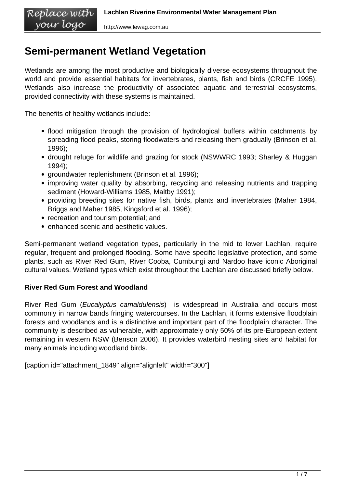# **Semi-permanent Wetland Vegetation**

Wetlands are among the most productive and biologically diverse ecosystems throughout the world and provide essential habitats for invertebrates, plants, fish and birds (CRCFE 1995). Wetlands also increase the productivity of associated aquatic and terrestrial ecosystems, provided connectivity with these systems is maintained.

The benefits of healthy wetlands include:

- flood mitigation through the provision of hydrological buffers within catchments by spreading flood peaks, storing floodwaters and releasing them gradually (Brinson et al. 1996);
- drought refuge for wildlife and grazing for stock (NSWWRC 1993; Sharley & Huggan 1994);
- groundwater replenishment (Brinson et al. 1996);
- improving water quality by absorbing, recycling and releasing nutrients and trapping sediment (Howard-Williams 1985, Maltby 1991);
- providing breeding sites for native fish, birds, plants and invertebrates (Maher 1984, Briggs and Maher 1985, Kingsford et al. 1996);
- recreation and tourism potential; and
- enhanced scenic and aesthetic values.

Semi-permanent wetland vegetation types, particularly in the mid to lower Lachlan, require regular, frequent and prolonged flooding. Some have specific legislative protection, and some plants, such as River Red Gum, River Cooba, Cumbungi and Nardoo have iconic Aboriginal cultural values. Wetland types which exist throughout the Lachlan are discussed briefly below.

# **River Red Gum Forest and Woodland**

River Red Gum (Eucalyptus camaldulensis) is widespread in Australia and occurs most commonly in narrow bands fringing watercourses. In the Lachlan, it forms extensive floodplain forests and woodlands and is a distinctive and important part of the floodplain character. The community is described as vulnerable, with approximately only 50% of its pre-European extent remaining in western NSW (Benson 2006). It provides waterbird nesting sites and habitat for many animals including woodland birds.

[caption id="attachment\_1849" align="alignleft" width="300"]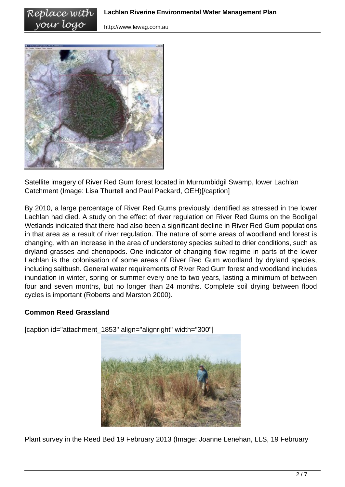

Satellite imagery of River Red Gum forest located in Murrumbidgil Swamp, lower Lachlan Catchment (Image: Lisa Thurtell and Paul Packard, OEH)[/caption]

By 2010, a large percentage of River Red Gums previously identified as stressed in the lower Lachlan had died. A study on the effect of river regulation on River Red Gums on the Booligal Wetlands indicated that there had also been a significant decline in River Red Gum populations in that area as a result of river regulation. The nature of some areas of woodland and forest is changing, with an increase in the area of understorey species suited to drier conditions, such as dryland grasses and chenopods. One indicator of changing flow regime in parts of the lower Lachlan is the colonisation of some areas of River Red Gum woodland by dryland species, including saltbush. General water requirements of River Red Gum forest and woodland includes inundation in winter, spring or summer every one to two years, lasting a minimum of between four and seven months, but no longer than 24 months. Complete soil drying between flood cycles is important (Roberts and Marston 2000).

## **Common Reed Grassland**

[caption id="attachment\_1853" align="alignright" width="300"]



Plant survey in the Reed Bed 19 February 2013 (Image: Joanne Lenehan, LLS, 19 February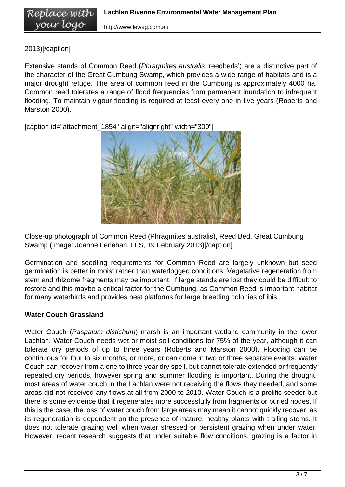# 2013)[/caption]

Extensive stands of Common Reed (Phragmites australis 'reedbeds') are a distinctive part of the character of the Great Cumbung Swamp, which provides a wide range of habitats and is a major drought refuge. The area of common reed in the Cumbung is approximately 4000 ha. Common reed tolerates a range of flood frequencies from permanent inundation to infrequent flooding. To maintain vigour flooding is required at least every one in five years (Roberts and Marston 2000).

[caption id="attachment\_1854" align="alignright" width="300"]



Close-up photograph of Common Reed (Phragmites australis), Reed Bed, Great Cumbung Swamp (Image: Joanne Lenehan, LLS, 19 February 2013)[/caption]

Germination and seedling requirements for Common Reed are largely unknown but seed germination is better in moist rather than waterlogged conditions. Vegetative regeneration from stem and rhizome fragments may be important. If large stands are lost they could be difficult to restore and this maybe a critical factor for the Cumbung, as Common Reed is important habitat for many waterbirds and provides nest platforms for large breeding colonies of ibis.

## **Water Couch Grassland**

Water Couch (Paspalum distichum) marsh is an important wetland community in the lower Lachlan. Water Couch needs wet or moist soil conditions for 75% of the year, although it can tolerate dry periods of up to three years (Roberts and Marston 2000). Flooding can be continuous for four to six months, or more, or can come in two or three separate events. Water Couch can recover from a one to three year dry spell, but cannot tolerate extended or frequently repeated dry periods, however spring and summer flooding is important. During the drought, most areas of water couch in the Lachlan were not receiving the flows they needed, and some areas did not received any flows at all from 2000 to 2010. Water Couch is a prolific seeder but there is some evidence that it regenerates more successfully from fragments or buried nodes. If this is the case, the loss of water couch from large areas may mean it cannot quickly recover, as its regeneration is dependent on the presence of mature, healthy plants with trailing stems. It does not tolerate grazing well when water stressed or persistent grazing when under water. However, recent research suggests that under suitable flow conditions, grazing is a factor in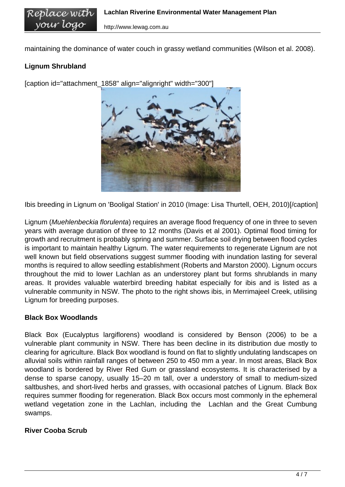maintaining the dominance of water couch in grassy wetland communities (Wilson et al. 2008).

## **Lignum Shrubland**

Replace with vour logo

[caption id="attachment\_1858" align="alignright" width="300"]



Ibis breeding in Lignum on 'Booligal Station' in 2010 (Image: Lisa Thurtell, OEH, 2010)[/caption]

Lignum (Muehlenbeckia florulenta) requires an average flood frequency of one in three to seven years with average duration of three to 12 months (Davis et al 2001). Optimal flood timing for growth and recruitment is probably spring and summer. Surface soil drying between flood cycles is important to maintain healthy Lignum. The water requirements to regenerate Lignum are not well known but field observations suggest summer flooding with inundation lasting for several months is required to allow seedling establishment (Roberts and Marston 2000). Lignum occurs throughout the mid to lower Lachlan as an understorey plant but forms shrublands in many areas. It provides valuable waterbird breeding habitat especially for ibis and is listed as a vulnerable community in NSW. The photo to the right shows ibis, in Merrimajeel Creek, utilising Lignum for breeding purposes.

#### **Black Box Woodlands**

Black Box (Eucalyptus largiflorens) woodland is considered by Benson (2006) to be a vulnerable plant community in NSW. There has been decline in its distribution due mostly to clearing for agriculture. Black Box woodland is found on flat to slightly undulating landscapes on alluvial soils within rainfall ranges of between 250 to 450 mm a year. In most areas, Black Box woodland is bordered by River Red Gum or grassland ecosystems. It is characterised by a dense to sparse canopy, usually 15–20 m tall, over a understory of small to medium-sized saltbushes, and short-lived herbs and grasses, with occasional patches of Lignum. Black Box requires summer flooding for regeneration. Black Box occurs most commonly in the ephemeral wetland vegetation zone in the Lachlan, including the Lachlan and the Great Cumbung swamps.

#### **River Cooba Scrub**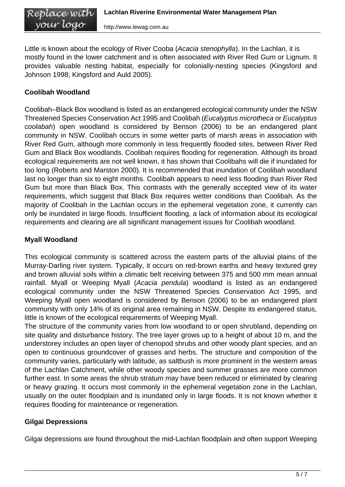Little is known about the ecology of River Cooba (Acacia stenophylla). In the Lachlan, it is mostly found in the lower catchment and is often associated with River Red Gum or Lignum. It provides valuable nesting habitat, especially for colonially-nesting species (Kingsford and Johnson 1998; Kingsford and Auld 2005).

# **Coolibah Woodland**

Coolibah–Black Box woodland is listed as an endangered ecological community under the NSW Threatened Species Conservation Act 1995 and Coolibah (Eucalyptus microtheca or Eucalyptus coolabah) open woodland is considered by Benson (2006) to be an endangered plant community in NSW. Coolibah occurs in some wetter parts of marsh areas in association with River Red Gum, although more commonly in less frequently flooded sites, between River Red Gum and Black Box woodlands. Coolibah requires flooding for regeneration. Although its broad ecological requirements are not well known, it has shown that Coolibahs will die if inundated for too long (Roberts and Marston 2000). It is recommended that inundation of Coolibah woodland last no longer than six to eight months. Coolibah appears to need less flooding than River Red Gum but more than Black Box. This contrasts with the generally accepted view of its water requirements, which suggest that Black Box requires wetter conditions than Coolibah. As the majority of Coolibah in the Lachlan occurs in the ephemeral vegetation zone, it currently can only be inundated in large floods. Insufficient flooding, a lack of information about its ecological requirements and clearing are all significant management issues for Coolibah woodland.

# **Myall Woodland**

This ecological community is scattered across the eastern parts of the alluvial plains of the Murray-Darling river system. Typically, it occurs on red-brown earths and heavy textured grey and brown alluvial soils within a climatic belt receiving between 375 and 500 mm mean annual rainfall. Myall or Weeping Myall (Acacia pendula) woodland is listed as an endangered ecological community under the NSW Threatened Species Conservation Act 1995, and Weeping Myall open woodland is considered by Benson (2006) to be an endangered plant community with only 14% of its original area remaining in NSW. Despite its endangered status, little is known of the ecological requirements of Weeping Myall.

The structure of the community varies from low woodland to or open shrubland, depending on site quality and disturbance history. The tree layer grows up to a height of about 10 m, and the understorey includes an open layer of chenopod shrubs and other woody plant species, and an open to continuous groundcover of grasses and herbs. The structure and composition of the community varies, particularly with latitude, as saltbush is more prominent in the western areas of the Lachlan Catchment, while other woody species and summer grasses are more common further east. In some areas the shrub stratum may have been reduced or eliminated by clearing or heavy grazing. It occurs most commonly in the ephemeral vegetation zone in the Lachlan, usually on the outer floodplain and is inundated only in large floods. It is not known whether it requires flooding for maintenance or regeneration.

# **Gilgai Depressions**

Gilgai depressions are found throughout the mid-Lachlan floodplain and often support Weeping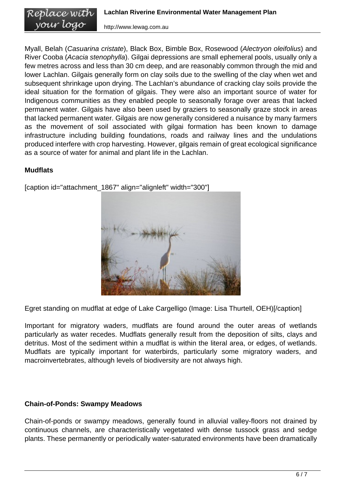Myall, Belah (Casuarina cristate), Black Box, Bimble Box, Rosewood (Alectryon oleifolius) and River Cooba (Acacia stenophylla). Gilgai depressions are small ephemeral pools, usually only a few metres across and less than 30 cm deep, and are reasonably common through the mid and lower Lachlan. Gilgais generally form on clay soils due to the swelling of the clay when wet and subsequent shrinkage upon drying. The Lachlan's abundance of cracking clay soils provide the ideal situation for the formation of gilgais. They were also an important source of water for Indigenous communities as they enabled people to seasonally forage over areas that lacked permanent water. Gilgais have also been used by graziers to seasonally graze stock in areas that lacked permanent water. Gilgais are now generally considered a nuisance by many farmers as the movement of soil associated with gilgai formation has been known to damage infrastructure including building foundations, roads and railway lines and the undulations produced interfere with crop harvesting. However, gilgais remain of great ecological significance as a source of water for animal and plant life in the Lachlan.

## **Mudflats**



[caption id="attachment\_1867" align="alignleft" width="300"]

Egret standing on mudflat at edge of Lake Cargelligo (Image: Lisa Thurtell, OEH)[/caption]

Important for migratory waders, mudflats are found around the outer areas of wetlands particularly as water recedes. Mudflats generally result from the deposition of silts, clays and detritus. Most of the sediment within a mudflat is within the literal area, or edges, of wetlands. Mudflats are typically important for waterbirds, particularly some migratory waders, and macroinvertebrates, although levels of biodiversity are not always high.

# **Chain-of-Ponds: Swampy Meadows**

Chain-of-ponds or swampy meadows, generally found in alluvial valley-floors not drained by continuous channels, are characteristically vegetated with dense tussock grass and sedge plants. These permanently or periodically water-saturated environments have been dramatically